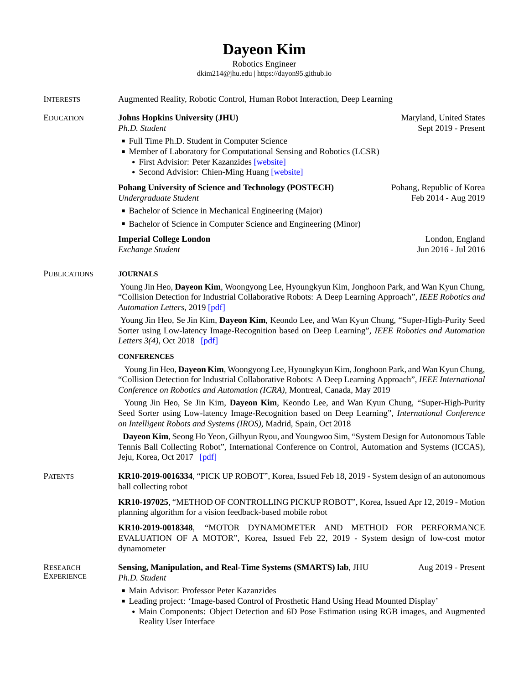## **Dayeon Kim**

Robotics Engineer [dkim214@jhu.edu](mailto:dkim214@jhu.edu) | <https://dayon95.github.io>

EDUCATION **Johns Hopkins University (JHU)** Maryland, United States

INTERESTS Augmented Reality, Robotic Control, Human Robot Interaction, Deep Learning

|                                      | Ph.D. Student                                                                                                                                                                                                                                                                       | Sept 2019 - Present                              |  |
|--------------------------------------|-------------------------------------------------------------------------------------------------------------------------------------------------------------------------------------------------------------------------------------------------------------------------------------|--------------------------------------------------|--|
|                                      | · Full Time Ph.D. Student in Computer Science<br>• Member of Laboratory for Computational Sensing and Robotics (LCSR)<br>• First Advisior: Peter Kazanzides [website]<br>• Second Advisior: Chien-Ming Huang [website]                                                              |                                                  |  |
|                                      | <b>Pohang University of Science and Technology (POSTECH)</b><br>Undergraduate Student                                                                                                                                                                                               | Pohang, Republic of Korea<br>Feb 2014 - Aug 2019 |  |
|                                      | • Bachelor of Science in Mechanical Engineering (Major)                                                                                                                                                                                                                             |                                                  |  |
|                                      | • Bachelor of Science in Computer Science and Engineering (Minor)                                                                                                                                                                                                                   |                                                  |  |
|                                      | <b>Imperial College London</b><br><b>Exchange Student</b>                                                                                                                                                                                                                           | London, England<br>Jun 2016 - Jul 2016           |  |
| <b>PUBLICATIONS</b>                  | <b>JOURNALS</b>                                                                                                                                                                                                                                                                     |                                                  |  |
|                                      | Young Jin Heo, Dayeon Kim, Woongyong Lee, Hyoungkyun Kim, Jonghoon Park, and Wan Kyun Chung,<br>"Collision Detection for Industrial Collaborative Robots: A Deep Learning Approach", IEEE Robotics and<br>Automation Letters, 2019 [pdf]                                            |                                                  |  |
|                                      | Young Jin Heo, Se Jin Kim, Dayeon Kim, Keondo Lee, and Wan Kyun Chung, "Super-High-Purity Seed<br>Sorter using Low-latency Image-Recognition based on Deep Learning", IEEE Robotics and Automation<br>Letters 3(4), Oct 2018 [pdf]                                                  |                                                  |  |
|                                      | <b>CONFERENCES</b>                                                                                                                                                                                                                                                                  |                                                  |  |
|                                      | Young Jin Heo, Dayeon Kim, Woongyong Lee, Hyoungkyun Kim, Jonghoon Park, and Wan Kyun Chung,<br>"Collision Detection for Industrial Collaborative Robots: A Deep Learning Approach", IEEE International<br>Conference on Robotics and Automation (ICRA), Montreal, Canada, May 2019 |                                                  |  |
|                                      | Young Jin Heo, Se Jin Kim, Dayeon Kim, Keondo Lee, and Wan Kyun Chung, "Super-High-Purity<br>Seed Sorter using Low-latency Image-Recognition based on Deep Learning", International Conference<br>on Intelligent Robots and Systems (IROS), Madrid, Spain, Oct 2018                 |                                                  |  |
|                                      | Dayeon Kim, Seong Ho Yeon, Gilhyun Ryou, and Youngwoo Sim, "System Design for Autonomous Table<br>Tennis Ball Collecting Robot", International Conference on Control, Automation and Systems (ICCAS),<br>Jeju, Korea, Oct 2017 [pdf]                                                |                                                  |  |
| <b>PATENTS</b>                       | KR10-2019-0016334, "PICK UP ROBOT", Korea, Issued Feb 18, 2019 - System design of an autonomous<br>ball collecting robot                                                                                                                                                            |                                                  |  |
|                                      | KR10-197025, "METHOD OF CONTROLLING PICKUP ROBOT", Korea, Issued Apr 12, 2019 - Motion<br>planning algorithm for a vision feedback-based mobile robot                                                                                                                               |                                                  |  |
|                                      | "MOTOR DYNAMOMETER AND METHOD FOR PERFORMANCE<br>KR10-2019-0018348.<br>EVALUATION OF A MOTOR", Korea, Issued Feb 22, 2019 - System design of low-cost motor<br>dynamometer                                                                                                          |                                                  |  |
| <b>RESEARCH</b><br><b>EXPERIENCE</b> | Sensing, Manipulation, and Real-Time Systems (SMARTS) lab, JHU<br>Ph.D. Student                                                                                                                                                                                                     | Aug 2019 - Present                               |  |
|                                      | · Main Advisor: Professor Peter Kazanzides<br>" Leading project: 'Image-based Control of Prosthetic Hand Using Head Mounted Display'<br>• Main Components: Object Detection and 6D Pose Estimation using RGB images, and Augmented<br><b>Reality User Interface</b>                 |                                                  |  |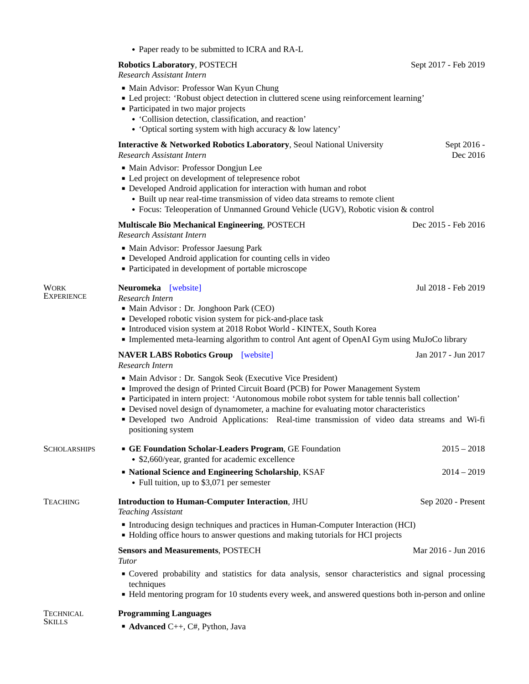|                            | • Paper ready to be submitted to ICRA and RA-L                                                                                                                                                                                                                                                                                                                                                                                                                   |                         |  |
|----------------------------|------------------------------------------------------------------------------------------------------------------------------------------------------------------------------------------------------------------------------------------------------------------------------------------------------------------------------------------------------------------------------------------------------------------------------------------------------------------|-------------------------|--|
|                            | <b>Robotics Laboratory, POSTECH</b><br><b>Research Assistant Intern</b>                                                                                                                                                                                                                                                                                                                                                                                          | Sept 2017 - Feb 2019    |  |
|                            | • Main Advisor: Professor Wan Kyun Chung<br>" Led project: 'Robust object detection in cluttered scene using reinforcement learning'<br>• Participated in two major projects<br>• 'Collision detection, classification, and reaction'<br>• 'Optical sorting system with high accuracy & low latency'                                                                                                                                                             |                         |  |
|                            | <b>Interactive &amp; Networked Robotics Laboratory, Seoul National University</b><br><b>Research Assistant Intern</b>                                                                                                                                                                                                                                                                                                                                            | Sept 2016 -<br>Dec 2016 |  |
|                            | · Main Advisor: Professor Dongjun Lee<br>• Led project on development of telepresence robot<br>• Developed Android application for interaction with human and robot<br>• Built up near real-time transmission of video data streams to remote client<br>• Focus: Teleoperation of Unmanned Ground Vehicle (UGV), Robotic vision & control                                                                                                                        |                         |  |
|                            | <b>Multiscale Bio Mechanical Engineering, POSTECH</b><br>Research Assistant Intern                                                                                                                                                                                                                                                                                                                                                                               | Dec 2015 - Feb 2016     |  |
|                            | • Main Advisor: Professor Jaesung Park<br>• Developed Android application for counting cells in video<br>• Participated in development of portable microscope                                                                                                                                                                                                                                                                                                    |                         |  |
| Work<br><b>EXPERIENCE</b>  | Neuromeka [website]<br>Jul 2018 - Feb 2019<br>Research Intern<br>· Main Advisor : Dr. Jonghoon Park (CEO)<br>• Developed robotic vision system for pick-and-place task<br>Introduced vision system at 2018 Robot World - KINTEX, South Korea<br>• Implemented meta-learning algorithm to control Ant agent of OpenAI Gym using MuJoCo library                                                                                                                    |                         |  |
|                            | <b>NAVER LABS Robotics Group</b> [website]<br>Research Intern                                                                                                                                                                                                                                                                                                                                                                                                    | Jan 2017 - Jun 2017     |  |
|                            | • Main Advisor: Dr. Sangok Seok (Executive Vice President)<br>Improved the design of Printed Circuit Board (PCB) for Power Management System<br>• Participated in intern project: 'Autonomous mobile robot system for table tennis ball collection'<br>• Devised novel design of dynamometer, a machine for evaluating motor characteristics<br>Developed two Android Applications: Real-time transmission of video data streams and Wi-fi<br>positioning system |                         |  |
| <b>SCHOLARSHIPS</b>        | GE Foundation Scholar-Leaders Program, GE Foundation<br>• \$2,660/year, granted for academic excellence                                                                                                                                                                                                                                                                                                                                                          | $2015 - 2018$           |  |
|                            | • National Science and Engineering Scholarship, KSAF<br>• Full tuition, up to \$3,071 per semester                                                                                                                                                                                                                                                                                                                                                               | $2014 - 2019$           |  |
| <b>TEACHING</b>            | Introduction to Human-Computer Interaction, JHU<br><b>Teaching Assistant</b>                                                                                                                                                                                                                                                                                                                                                                                     | Sep 2020 - Present      |  |
|                            | • Introducing design techniques and practices in Human-Computer Interaction (HCI)<br>• Holding office hours to answer questions and making tutorials for HCI projects                                                                                                                                                                                                                                                                                            |                         |  |
|                            | <b>Sensors and Measurements, POSTECH</b><br>Tutor                                                                                                                                                                                                                                                                                                                                                                                                                | Mar 2016 - Jun 2016     |  |
|                            | • Covered probability and statistics for data analysis, sensor characteristics and signal processing<br>techniques<br>• Held mentoring program for 10 students every week, and answered questions both in-person and online                                                                                                                                                                                                                                      |                         |  |
| TECHNICAL<br><b>SKILLS</b> | <b>Programming Languages</b><br>• Advanced C++, C#, Python, Java                                                                                                                                                                                                                                                                                                                                                                                                 |                         |  |